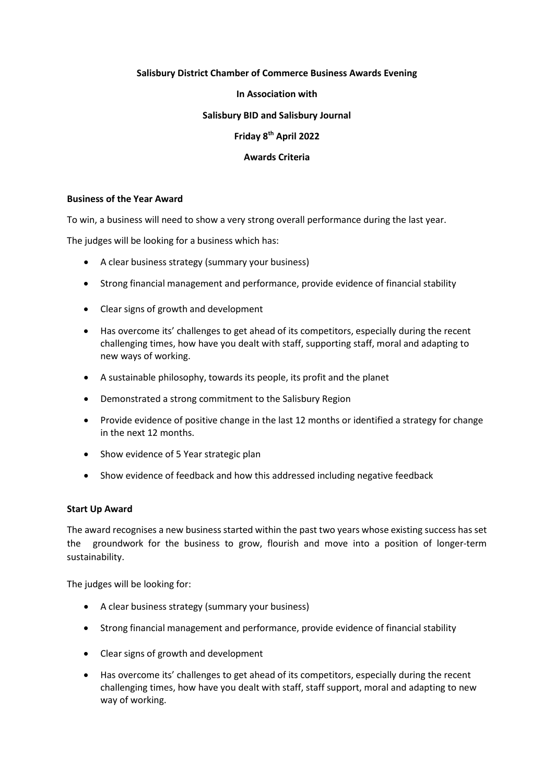# **Salisbury District Chamber of Commerce Business Awards Evening**

### **In Association with**

## **Salisbury BID and Salisbury Journal**

# **Friday 8th April 2022**

# **Awards Criteria**

## **Business of the Year Award**

To win, a business will need to show a very strong overall performance during the last year.

The judges will be looking for a business which has:

- A clear business strategy (summary your business)
- Strong financial management and performance, provide evidence of financial stability
- Clear signs of growth and development
- Has overcome its' challenges to get ahead of its competitors, especially during the recent challenging times, how have you dealt with staff, supporting staff, moral and adapting to new ways of working.
- A sustainable philosophy, towards its people, its profit and the planet
- Demonstrated a strong commitment to the Salisbury Region
- Provide evidence of positive change in the last 12 months or identified a strategy for change in the next 12 months.
- Show evidence of 5 Year strategic plan
- Show evidence of feedback and how this addressed including negative feedback

## **Start Up Award**

The award recognises a new business started within the past two years whose existing success has set the groundwork for the business to grow, flourish and move into a position of longer-term sustainability.

The judges will be looking for:

- A clear business strategy (summary your business)
- Strong financial management and performance, provide evidence of financial stability
- Clear signs of growth and development
- Has overcome its' challenges to get ahead of its competitors, especially during the recent challenging times, how have you dealt with staff, staff support, moral and adapting to new way of working.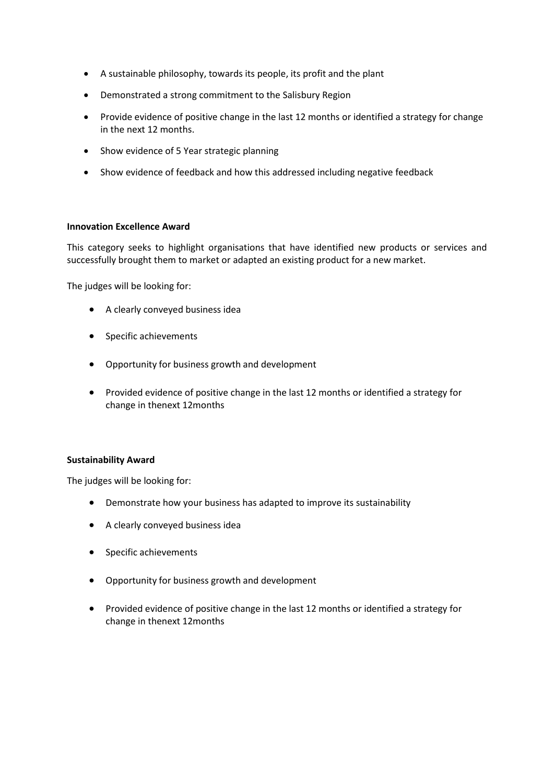- A sustainable philosophy, towards its people, its profit and the plant
- Demonstrated a strong commitment to the Salisbury Region
- Provide evidence of positive change in the last 12 months or identified a strategy for change in the next 12 months.
- Show evidence of 5 Year strategic planning
- Show evidence of feedback and how this addressed including negative feedback

#### **Innovation Excellence Award**

This category seeks to highlight organisations that have identified new products or services and successfully brought them to market or adapted an existing product for a new market.

The judges will be looking for:

- A clearly conveyed business idea
- Specific achievements
- Opportunity for business growth and development
- Provided evidence of positive change in the last 12 months or identified a strategy for change in thenext 12months

## **Sustainability Award**

The judges will be looking for:

- Demonstrate how your business has adapted to improve its sustainability
- A clearly conveyed business idea
- Specific achievements
- Opportunity for business growth and development
- Provided evidence of positive change in the last 12 months or identified a strategy for change in thenext 12months